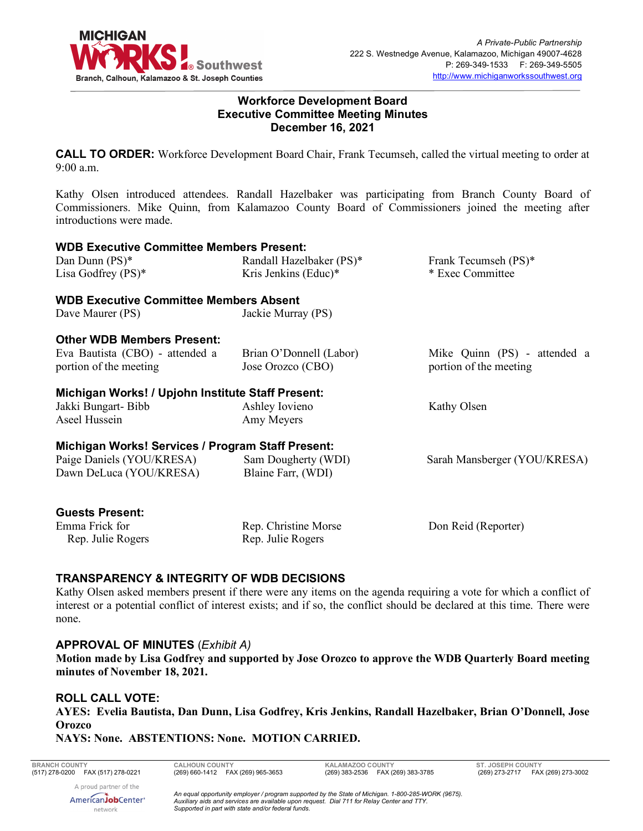

#### **Workforce Development Board Executive Committee Meeting Minutes December 16, 2021**

**CALL TO ORDER:** Workforce Development Board Chair, Frank Tecumseh, called the virtual meeting to order at 9:00 a.m.

Kathy Olsen introduced attendees. Randall Hazelbaker was participating from Branch County Board of Commissioners. Mike Quinn, from Kalamazoo County Board of Commissioners joined the meeting after introductions were made.

| <b>WDB Executive Committee Members Present:</b>   |                          |                              |  |
|---------------------------------------------------|--------------------------|------------------------------|--|
| Dan Dunn (PS)*                                    | Randall Hazelbaker (PS)* | Frank Tecumseh (PS)*         |  |
| Lisa Godfrey $(PS)^*$                             | Kris Jenkins (Educ)*     | * Exec Committee             |  |
| <b>WDB Executive Committee Members Absent</b>     |                          |                              |  |
| Dave Maurer (PS)                                  | Jackie Murray (PS)       |                              |  |
| <b>Other WDB Members Present:</b>                 |                          |                              |  |
| Eva Bautista (CBO) - attended a                   | Brian O'Donnell (Labor)  | Mike Quinn (PS) - attended a |  |
| portion of the meeting                            | Jose Orozco (CBO)        | portion of the meeting       |  |
| Michigan Works! / Upjohn Institute Staff Present: |                          |                              |  |
| Jakki Bungart-Bibb                                | Ashley Iovieno           | Kathy Olsen                  |  |
| Aseel Hussein                                     | Amy Meyers               |                              |  |
| Michigan Works! Services / Program Staff Present: |                          |                              |  |
| Paige Daniels (YOU/KRESA)                         | Sam Dougherty (WDI)      | Sarah Mansberger (YOU/KRESA) |  |
| Dawn DeLuca (YOU/KRESA)                           | Blaine Farr, (WDI)       |                              |  |
| <b>Guests Present:</b>                            |                          |                              |  |
| Emma Frick for                                    | Rep. Christine Morse     | Don Reid (Reporter)          |  |

# **TRANSPARENCY & INTEGRITY OF WDB DECISIONS**

Kathy Olsen asked members present if there were any items on the agenda requiring a vote for which a conflict of interest or a potential conflict of interest exists; and if so, the conflict should be declared at this time. There were none.

Rep. Julie Rogers

#### **APPROVAL OF MINUTES** (*Exhibit A)*

**Motion made by Lisa Godfrey and supported by Jose Orozco to approve the WDB Quarterly Board meeting minutes of November 18, 2021.**

#### **ROLL CALL VOTE:**

Rep. Julie Rogers

**AYES: Evelia Bautista, Dan Dunn, Lisa Godfrey, Kris Jenkins, Randall Hazelbaker, Brian O'Donnell, Jose Orozco**

#### **NAYS: None. ABSTENTIONS: None. MOTION CARRIED.**

**BRANCH COUNTY CALHOUN COUNTY KALAMAZOO COUNTY ST. JOSEPH COUNTY**

(269) 273-2717 FAX (269) 273-3002

A proud partner of the AmericanJobCenter<sup>®</sup> network

*An equal opportunity employer / program supported by the State of Michigan. 1-800-285-WORK (9675). Auxiliary aids and services are available upon request. Dial 711 for Relay Center and TTY. Supported in part with state and/or federal funds.*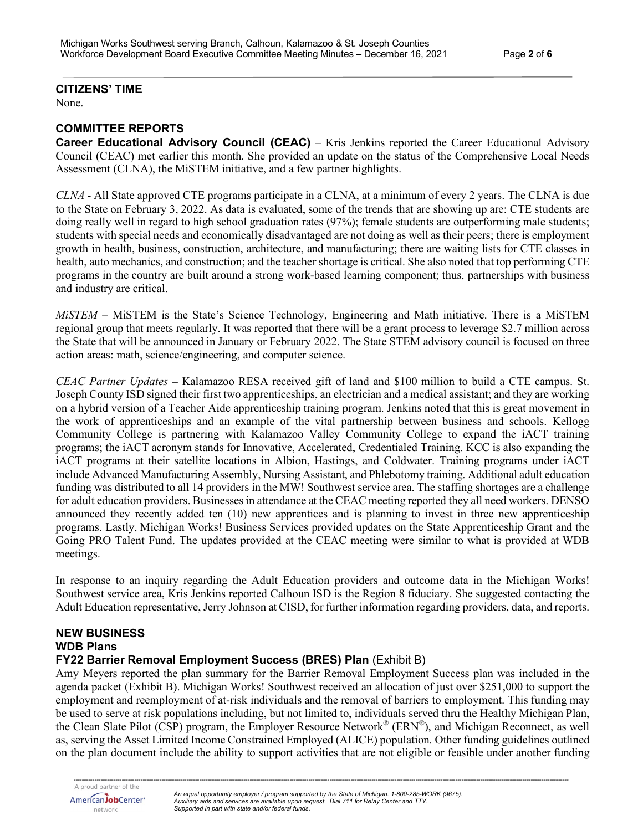#### **CITIZENS' TIME**

None.

#### **COMMITTEE REPORTS**

**Career Educational Advisory Council (CEAC)** – Kris Jenkins reported the Career Educational Advisory Council (CEAC) met earlier this month. She provided an update on the status of the Comprehensive Local Needs Assessment (CLNA), the MiSTEM initiative, and a few partner highlights.

*CLNA -* All State approved CTE programs participate in a CLNA, at a minimum of every 2 years. The CLNA is due to the State on February 3, 2022. As data is evaluated, some of the trends that are showing up are: CTE students are doing really well in regard to high school graduation rates (97%); female students are outperforming male students; students with special needs and economically disadvantaged are not doing as well as their peers; there is employment growth in health, business, construction, architecture, and manufacturing; there are waiting lists for CTE classes in health, auto mechanics, and construction; and the teacher shortage is critical. She also noted that top performing CTE programs in the country are built around a strong work-based learning component; thus, partnerships with business and industry are critical.

*MiSTEM* **–** MiSTEM is the State's Science Technology, Engineering and Math initiative. There is a MiSTEM regional group that meets regularly. It was reported that there will be a grant process to leverage \$2.7 million across the State that will be announced in January or February 2022. The State STEM advisory council is focused on three action areas: math, science/engineering, and computer science.

*CEAC Partner Updates* **–** Kalamazoo RESA received gift of land and \$100 million to build a CTE campus. St. Joseph County ISD signed their first two apprenticeships, an electrician and a medical assistant; and they are working on a hybrid version of a Teacher Aide apprenticeship training program. Jenkins noted that this is great movement in the work of apprenticeships and an example of the vital partnership between business and schools. Kellogg Community College is partnering with Kalamazoo Valley Community College to expand the iACT training programs; the iACT acronym stands for Innovative, Accelerated, Credentialed Training. KCC is also expanding the iACT programs at their satellite locations in Albion, Hastings, and Coldwater. Training programs under iACT include Advanced Manufacturing Assembly, Nursing Assistant, and Phlebotomy training. Additional adult education funding was distributed to all 14 providers in the MW! Southwest service area. The staffing shortages are a challenge for adult education providers. Businesses in attendance at the CEAC meeting reported they all need workers. DENSO announced they recently added ten (10) new apprentices and is planning to invest in three new apprenticeship programs. Lastly, Michigan Works! Business Services provided updates on the State Apprenticeship Grant and the Going PRO Talent Fund. The updates provided at the CEAC meeting were similar to what is provided at WDB meetings.

In response to an inquiry regarding the Adult Education providers and outcome data in the Michigan Works! Southwest service area, Kris Jenkins reported Calhoun ISD is the Region 8 fiduciary. She suggested contacting the Adult Education representative, Jerry Johnson at CISD, for further information regarding providers, data, and reports.

# **NEW BUSINESS WDB Plans**

#### **FY22 Barrier Removal Employment Success (BRES) Plan** (Exhibit B)

Amy Meyers reported the plan summary for the Barrier Removal Employment Success plan was included in the agenda packet (Exhibit B). Michigan Works! Southwest received an allocation of just over \$251,000 to support the employment and reemployment of at-risk individuals and the removal of barriers to employment. This funding may be used to serve at risk populations including, but not limited to, individuals served thru the Healthy Michigan Plan, the Clean Slate Pilot (CSP) program, the Employer Resource Network® (ERN®), and Michigan Reconnect, as well as, serving the Asset Limited Income Constrained Employed (ALICE) population. Other funding guidelines outlined on the plan document include the ability to support activities that are not eligible or feasible under another funding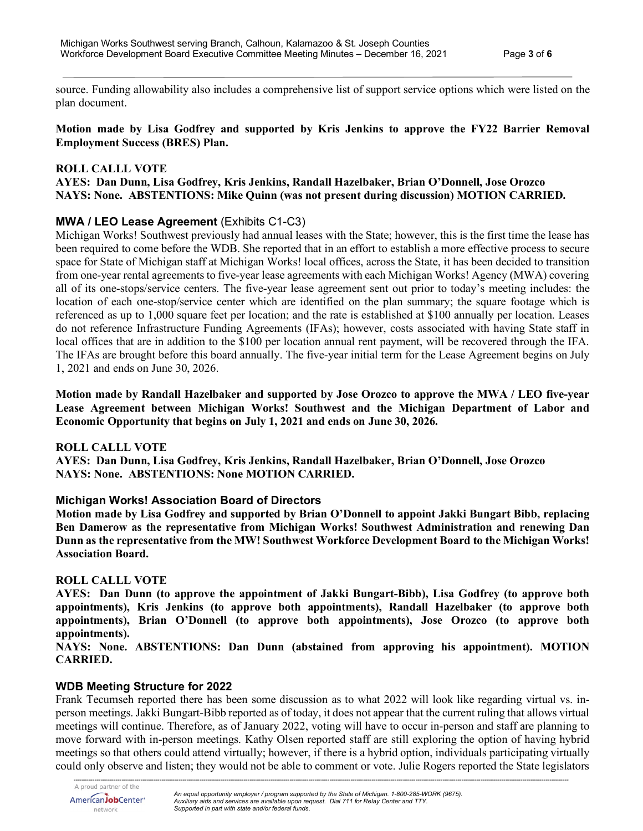source. Funding allowability also includes a comprehensive list of support service options which were listed on the plan document.

**Motion made by Lisa Godfrey and supported by Kris Jenkins to approve the FY22 Barrier Removal Employment Success (BRES) Plan.**

#### **ROLL CALLL VOTE**

**AYES: Dan Dunn, Lisa Godfrey, Kris Jenkins, Randall Hazelbaker, Brian O'Donnell, Jose Orozco NAYS: None. ABSTENTIONS: Mike Quinn (was not present during discussion) MOTION CARRIED.**

# **MWA / LEO Lease Agreement** (Exhibits C1-C3)

Michigan Works! Southwest previously had annual leases with the State; however, this is the first time the lease has been required to come before the WDB. She reported that in an effort to establish a more effective process to secure space for State of Michigan staff at Michigan Works! local offices, across the State, it has been decided to transition from one-year rental agreements to five-year lease agreements with each Michigan Works! Agency (MWA) covering all of its one-stops/service centers. The five-year lease agreement sent out prior to today's meeting includes: the location of each one-stop/service center which are identified on the plan summary; the square footage which is referenced as up to 1,000 square feet per location; and the rate is established at \$100 annually per location. Leases do not reference Infrastructure Funding Agreements (IFAs); however, costs associated with having State staff in local offices that are in addition to the \$100 per location annual rent payment, will be recovered through the IFA. The IFAs are brought before this board annually. The five-year initial term for the Lease Agreement begins on July 1, 2021 and ends on June 30, 2026.

**Motion made by Randall Hazelbaker and supported by Jose Orozco to approve the MWA / LEO five-year Lease Agreement between Michigan Works! Southwest and the Michigan Department of Labor and Economic Opportunity that begins on July 1, 2021 and ends on June 30, 2026.**

# **ROLL CALLL VOTE**

**AYES: Dan Dunn, Lisa Godfrey, Kris Jenkins, Randall Hazelbaker, Brian O'Donnell, Jose Orozco NAYS: None. ABSTENTIONS: None MOTION CARRIED.**

# **Michigan Works! Association Board of Directors**

**Motion made by Lisa Godfrey and supported by Brian O'Donnell to appoint Jakki Bungart Bibb, replacing Ben Damerow as the representative from Michigan Works! Southwest Administration and renewing Dan Dunn as the representative from the MW! Southwest Workforce Development Board to the Michigan Works! Association Board.**

# **ROLL CALLL VOTE**

**AYES: Dan Dunn (to approve the appointment of Jakki Bungart-Bibb), Lisa Godfrey (to approve both appointments), Kris Jenkins (to approve both appointments), Randall Hazelbaker (to approve both appointments), Brian O'Donnell (to approve both appointments), Jose Orozco (to approve both appointments).**

**NAYS: None. ABSTENTIONS: Dan Dunn (abstained from approving his appointment). MOTION CARRIED.**

# **WDB Meeting Structure for 2022**

Frank Tecumseh reported there has been some discussion as to what 2022 will look like regarding virtual vs. inperson meetings. Jakki Bungart-Bibb reported as of today, it does not appear that the current ruling that allows virtual meetings will continue. Therefore, as of January 2022, voting will have to occur in-person and staff are planning to move forward with in-person meetings. Kathy Olsen reported staff are still exploring the option of having hybrid meetings so that others could attend virtually; however, if there is a hybrid option, individuals participating virtually could only observe and listen; they would not be able to comment or vote. Julie Rogers reported the State legislators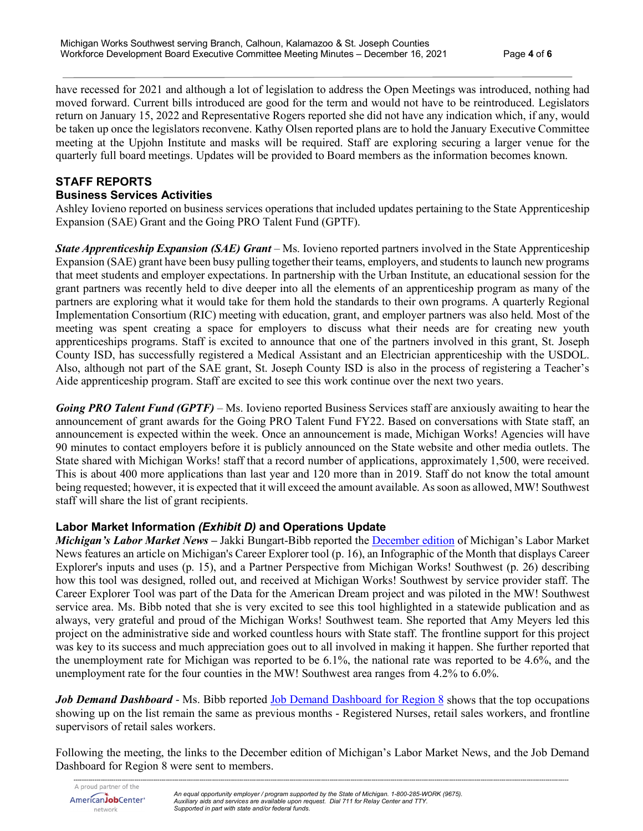have recessed for 2021 and although a lot of legislation to address the Open Meetings was introduced, nothing had moved forward. Current bills introduced are good for the term and would not have to be reintroduced. Legislators return on January 15, 2022 and Representative Rogers reported she did not have any indication which, if any, would be taken up once the legislators reconvene. Kathy Olsen reported plans are to hold the January Executive Committee meeting at the Upjohn Institute and masks will be required. Staff are exploring securing a larger venue for the quarterly full board meetings. Updates will be provided to Board members as the information becomes known.

# **STAFF REPORTS**

# **Business Services Activities**

Ashley Iovieno reported on business services operations that included updates pertaining to the State Apprenticeship Expansion (SAE) Grant and the Going PRO Talent Fund (GPTF).

*State Apprenticeship Expansion (SAE) Grant* – Ms. Iovieno reported partners involved in the State Apprenticeship Expansion (SAE) grant have been busy pulling together their teams, employers, and students to launch new programs that meet students and employer expectations. In partnership with the Urban Institute, an educational session for the grant partners was recently held to dive deeper into all the elements of an apprenticeship program as many of the partners are exploring what it would take for them hold the standards to their own programs. A quarterly Regional Implementation Consortium (RIC) meeting with education, grant, and employer partners was also held. Most of the meeting was spent creating a space for employers to discuss what their needs are for creating new youth apprenticeships programs. Staff is excited to announce that one of the partners involved in this grant, St. Joseph County ISD, has successfully registered a Medical Assistant and an Electrician apprenticeship with the USDOL. Also, although not part of the SAE grant, St. Joseph County ISD is also in the process of registering a Teacher's Aide apprenticeship program. Staff are excited to see this work continue over the next two years.

*Going PRO Talent Fund (GPTF)* – Ms. Iovieno reported Business Services staff are anxiously awaiting to hear the announcement of grant awards for the Going PRO Talent Fund FY22. Based on conversations with State staff, an announcement is expected within the week. Once an announcement is made, Michigan Works! Agencies will have 90 minutes to contact employers before it is publicly announced on the State website and other media outlets. The State shared with Michigan Works! staff that a record number of applications, approximately 1,500, were received. This is about 400 more applications than last year and 120 more than in 2019. Staff do not know the total amount being requested; however, it is expected that it will exceed the amount available. As soon as allowed, MW! Southwest staff will share the list of grant recipients.

# **Labor Market Information** *(Exhibit D)* **and Operations Update**

*Michigan's Labor Market News* **–** Jakki Bungart-Bibb reported the [December edition](https://milmi.org/Publication/Labor-Market-News/Michigans-Labor-Market-News-December-2021) of Michigan's Labor Market News features an article on Michigan's Career Explorer tool (p. 16), an Infographic of the Month that displays Career Explorer's inputs and uses (p. 15), and a Partner Perspective from Michigan Works! Southwest (p. 26) describing how this tool was designed, rolled out, and received at Michigan Works! Southwest by service provider staff. The Career Explorer Tool was part of the Data for the American Dream project and was piloted in the MW! Southwest service area. Ms. Bibb noted that she is very excited to see this tool highlighted in a statewide publication and as always, very grateful and proud of the Michigan Works! Southwest team. She reported that Amy Meyers led this project on the administrative side and worked countless hours with State staff. The frontline support for this project was key to its success and much appreciation goes out to all involved in making it happen. She further reported that the unemployment rate for Michigan was reported to be 6.1%, the national rate was reported to be 4.6%, and the unemployment rate for the four counties in the MW! Southwest area ranges from 4.2% to 6.0%.

*Job Demand Dashboard* - Ms. Bibb reported [Job Demand Dashboard for Region 8](https://app.powerbigov.us/view?r=eyJrIjoiOTc1OWQ5OWItODVmYi00Y2IyLWExMjYtYjkzOTc0OWZlMTcwIiwidCI6ImQ1ZmI3MDg3LTM3NzctNDJhZC05NjZhLTg5MmVmNDcyMjVkMSJ9&pageName=ReportSection3ea51ac6802356c9f464) shows that the top occupations showing up on the list remain the same as previous months - Registered Nurses, retail sales workers, and frontline supervisors of retail sales workers.

Following the meeting, the links to the December edition of Michigan's Labor Market News, and the Job Demand Dashboard for Region 8 were sent to members.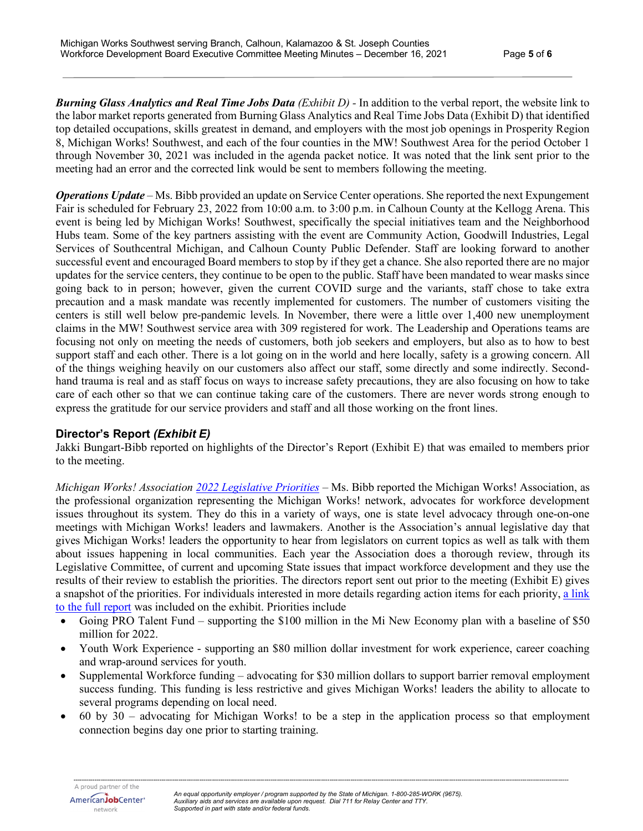*Burning Glass Analytics and Real Time Jobs Data (Exhibit D) -* In addition to the verbal report, the website link to the labor market reports generated from Burning Glass Analytics and Real Time Jobs Data (Exhibit D) that identified top detailed occupations, skills greatest in demand, and employers with the most job openings in Prosperity Region 8, Michigan Works! Southwest, and each of the four counties in the MW! Southwest Area for the period October 1 through November 30, 2021 was included in the agenda packet notice. It was noted that the link sent prior to the meeting had an error and the corrected link would be sent to members following the meeting.

*Operations Update* – Ms. Bibb provided an update on Service Center operations. She reported the next Expungement Fair is scheduled for February 23, 2022 from 10:00 a.m. to 3:00 p.m. in Calhoun County at the Kellogg Arena. This event is being led by Michigan Works! Southwest, specifically the special initiatives team and the Neighborhood Hubs team. Some of the key partners assisting with the event are Community Action, Goodwill Industries, Legal Services of Southcentral Michigan, and Calhoun County Public Defender. Staff are looking forward to another successful event and encouraged Board members to stop by if they get a chance. She also reported there are no major updates for the service centers, they continue to be open to the public. Staff have been mandated to wear masks since going back to in person; however, given the current COVID surge and the variants, staff chose to take extra precaution and a mask mandate was recently implemented for customers. The number of customers visiting the centers is still well below pre-pandemic levels. In November, there were a little over 1,400 new unemployment claims in the MW! Southwest service area with 309 registered for work. The Leadership and Operations teams are focusing not only on meeting the needs of customers, both job seekers and employers, but also as to how to best support staff and each other. There is a lot going on in the world and here locally, safety is a growing concern. All of the things weighing heavily on our customers also affect our staff, some directly and some indirectly. Secondhand trauma is real and as staff focus on ways to increase safety precautions, they are also focusing on how to take care of each other so that we can continue taking care of the customers. There are never words strong enough to express the gratitude for our service providers and staff and all those working on the front lines.

# **Director's Report** *(Exhibit E)*

Jakki Bungart-Bibb reported on highlights of the Director's Report (Exhibit E) that was emailed to members prior to the meeting.

*Michigan Works! Association [2022 Legislative Priorities](https://static1.squarespace.com/static/5ccc49ee348cd92c42de2bb7/t/61af646eb18eca3a9016f8a3/1638884462971/2022+State+Legislative+Priorities+%28REVISED+NOV+2021%29.pdf)* – Ms. Bibb reported the Michigan Works! Association, as the professional organization representing the Michigan Works! network, advocates for workforce development issues throughout its system. They do this in a variety of ways, one is state level advocacy through one-on-one meetings with Michigan Works! leaders and lawmakers. Another is the Association's annual legislative day that gives Michigan Works! leaders the opportunity to hear from legislators on current topics as well as talk with them about issues happening in local communities. Each year the Association does a thorough review, through its Legislative Committee, of current and upcoming State issues that impact workforce development and they use the results of their review to establish the priorities. The directors report sent out prior to the meeting (Exhibit E) gives a snapshot of the priorities. For individuals interested in more details regarding action items for each priority, a link [to the full report](https://static1.squarespace.com/static/5ccc49ee348cd92c42de2bb7/t/61af646eb18eca3a9016f8a3/1638884462971/2022+State+Legislative+Priorities+%28REVISED+NOV+2021%29.pdf) was included on the exhibit. Priorities include

- Going PRO Talent Fund supporting the \$100 million in the Mi New Economy plan with a baseline of \$50 million for 2022.
- Youth Work Experience supporting an \$80 million dollar investment for work experience, career coaching and wrap-around services for youth.
- Supplemental Workforce funding advocating for \$30 million dollars to support barrier removal employment success funding. This funding is less restrictive and gives Michigan Works! leaders the ability to allocate to several programs depending on local need.
- $\bullet$  60 by 30 advocating for Michigan Works! to be a step in the application process so that employment connection begins day one prior to starting training.